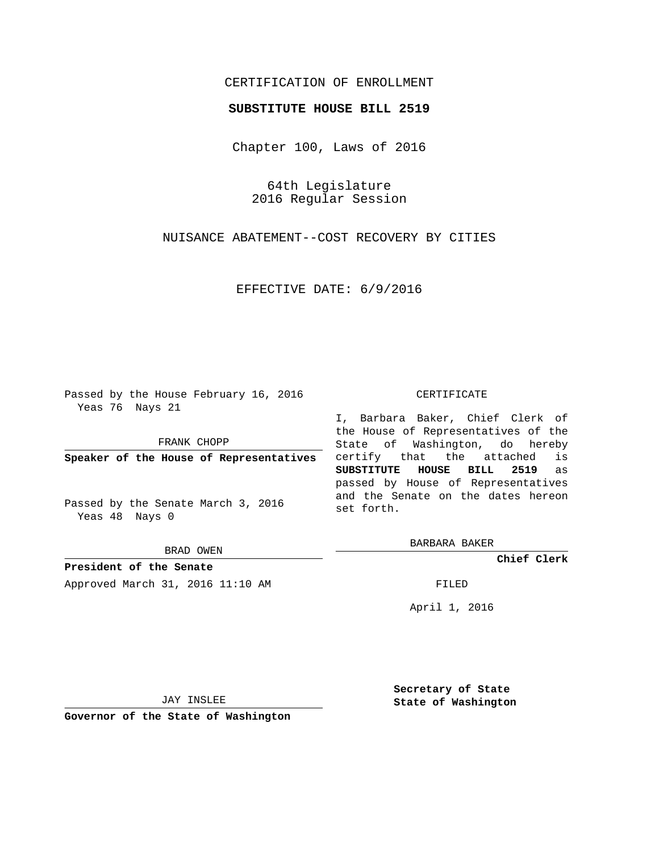# CERTIFICATION OF ENROLLMENT

# **SUBSTITUTE HOUSE BILL 2519**

Chapter 100, Laws of 2016

64th Legislature 2016 Regular Session

NUISANCE ABATEMENT--COST RECOVERY BY CITIES

EFFECTIVE DATE: 6/9/2016

Passed by the House February 16, 2016 Yeas 76 Nays 21

FRANK CHOPP

**Speaker of the House of Representatives**

Passed by the Senate March 3, 2016 Yeas 48 Nays 0

BRAD OWEN

**President of the Senate** Approved March 31, 2016 11:10 AM FILED

#### CERTIFICATE

I, Barbara Baker, Chief Clerk of the House of Representatives of the State of Washington, do hereby certify that the attached is **SUBSTITUTE HOUSE BILL 2519** as passed by House of Representatives and the Senate on the dates hereon set forth.

BARBARA BAKER

**Chief Clerk**

April 1, 2016

JAY INSLEE

**Governor of the State of Washington**

**Secretary of State State of Washington**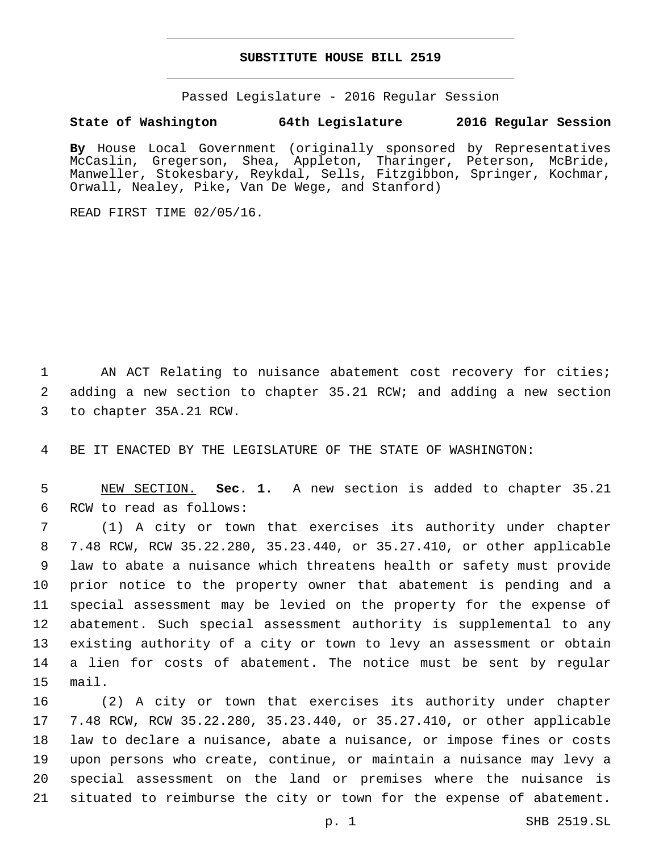# **SUBSTITUTE HOUSE BILL 2519**

Passed Legislature - 2016 Regular Session

# **State of Washington 64th Legislature 2016 Regular Session**

**By** House Local Government (originally sponsored by Representatives McCaslin, Gregerson, Shea, Appleton, Tharinger, Peterson, McBride, Manweller, Stokesbary, Reykdal, Sells, Fitzgibbon, Springer, Kochmar, Orwall, Nealey, Pike, Van De Wege, and Stanford)

READ FIRST TIME 02/05/16.

1 AN ACT Relating to nuisance abatement cost recovery for cities; 2 adding a new section to chapter 35.21 RCW; and adding a new section 3 to chapter 35A.21 RCW.

4 BE IT ENACTED BY THE LEGISLATURE OF THE STATE OF WASHINGTON:

5 NEW SECTION. **Sec. 1.** A new section is added to chapter 35.21 6 RCW to read as follows:

 (1) A city or town that exercises its authority under chapter 7.48 RCW, RCW 35.22.280, 35.23.440, or 35.27.410, or other applicable law to abate a nuisance which threatens health or safety must provide prior notice to the property owner that abatement is pending and a special assessment may be levied on the property for the expense of abatement. Such special assessment authority is supplemental to any existing authority of a city or town to levy an assessment or obtain a lien for costs of abatement. The notice must be sent by regular 15 mail.

 (2) A city or town that exercises its authority under chapter 7.48 RCW, RCW 35.22.280, 35.23.440, or 35.27.410, or other applicable law to declare a nuisance, abate a nuisance, or impose fines or costs upon persons who create, continue, or maintain a nuisance may levy a special assessment on the land or premises where the nuisance is situated to reimburse the city or town for the expense of abatement.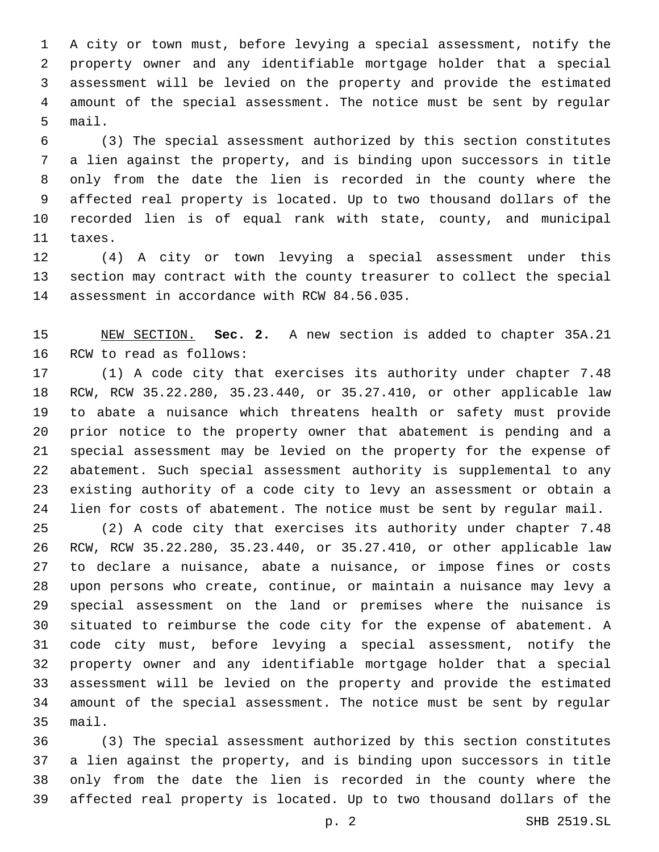A city or town must, before levying a special assessment, notify the property owner and any identifiable mortgage holder that a special assessment will be levied on the property and provide the estimated amount of the special assessment. The notice must be sent by regular 5 mail.

 (3) The special assessment authorized by this section constitutes a lien against the property, and is binding upon successors in title only from the date the lien is recorded in the county where the affected real property is located. Up to two thousand dollars of the recorded lien is of equal rank with state, county, and municipal 11 taxes.

 (4) A city or town levying a special assessment under this section may contract with the county treasurer to collect the special 14 assessment in accordance with RCW 84.56.035.

 NEW SECTION. **Sec. 2.** A new section is added to chapter 35A.21 16 RCW to read as follows:

 (1) A code city that exercises its authority under chapter 7.48 RCW, RCW 35.22.280, 35.23.440, or 35.27.410, or other applicable law to abate a nuisance which threatens health or safety must provide prior notice to the property owner that abatement is pending and a special assessment may be levied on the property for the expense of abatement. Such special assessment authority is supplemental to any existing authority of a code city to levy an assessment or obtain a lien for costs of abatement. The notice must be sent by regular mail.

 (2) A code city that exercises its authority under chapter 7.48 RCW, RCW 35.22.280, 35.23.440, or 35.27.410, or other applicable law to declare a nuisance, abate a nuisance, or impose fines or costs upon persons who create, continue, or maintain a nuisance may levy a special assessment on the land or premises where the nuisance is situated to reimburse the code city for the expense of abatement. A code city must, before levying a special assessment, notify the property owner and any identifiable mortgage holder that a special assessment will be levied on the property and provide the estimated amount of the special assessment. The notice must be sent by regular 35 mail.

 (3) The special assessment authorized by this section constitutes a lien against the property, and is binding upon successors in title only from the date the lien is recorded in the county where the affected real property is located. Up to two thousand dollars of the